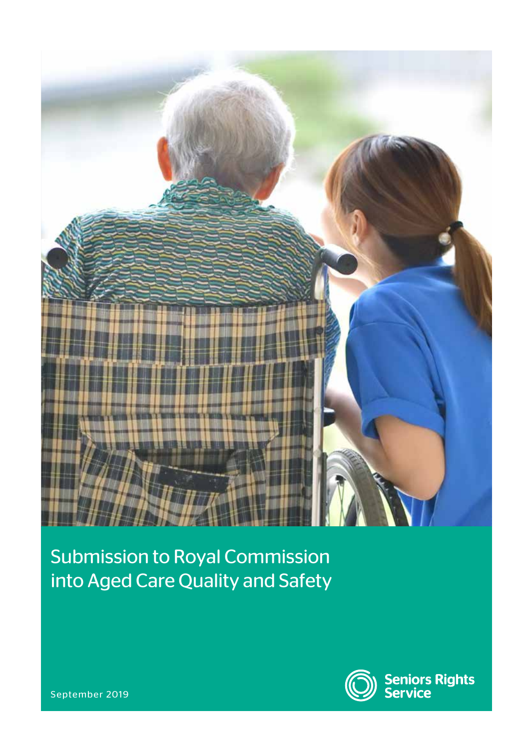

Submission to Royal Commission into Aged Care Quality and Safety



September 2019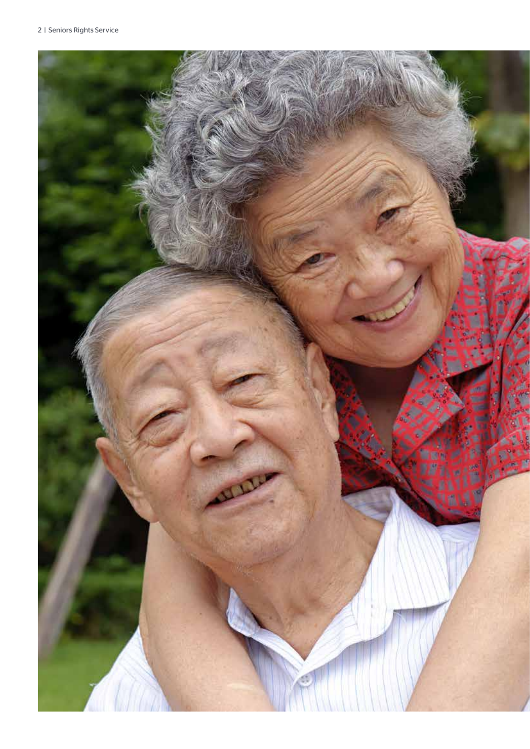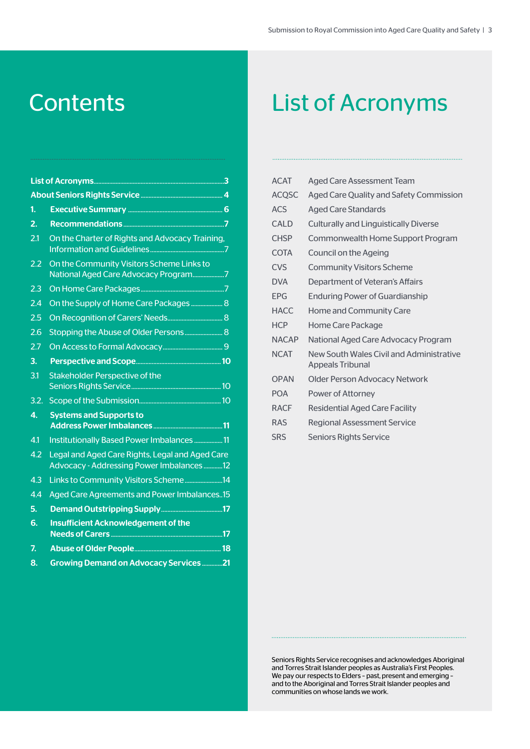## **Contents**

| 1.   |                                                                                             |  |
|------|---------------------------------------------------------------------------------------------|--|
| 2.   |                                                                                             |  |
| 2.1  | On the Charter of Rights and Advocacy Training,                                             |  |
| 2.2  | On the Community Visitors Scheme Links to<br>National Aged Care Advocacy Program7           |  |
| 2.3  |                                                                                             |  |
| 2.4  | On the Supply of Home Care Packages  8                                                      |  |
| 2.5  |                                                                                             |  |
| 2.6  | Stopping the Abuse of Older Persons 8                                                       |  |
| 2.7  |                                                                                             |  |
| 3.   |                                                                                             |  |
| 31   | <b>Stakeholder Perspective of the</b>                                                       |  |
| 3.2. |                                                                                             |  |
| 4.   | <b>Systems and Supports to</b>                                                              |  |
| 4.1  | Institutionally Based Power Imbalances11                                                    |  |
| 4.2  | Legal and Aged Care Rights, Legal and Aged Care<br>Advocacy - Addressing Power Imbalances12 |  |
| 4.3  | Links to Community Visitors Scheme14                                                        |  |
| 4.4  | Aged Care Agreements and Power Imbalances15                                                 |  |
| 5.   |                                                                                             |  |
| 6.   | <b>Insufficient Acknowledgement of the</b>                                                  |  |
| 7.   |                                                                                             |  |
| 8.   | <b>Growing Demand on Advocacy Services 21</b>                                               |  |

# List of Acronyms

| <b>ACAT</b>  | Aged Care Assessment Team                                           |
|--------------|---------------------------------------------------------------------|
| <b>ACQSC</b> | Aged Care Quality and Safety Commission                             |
| ACS          | <b>Aged Care Standards</b>                                          |
| CAI D        | <b>Culturally and Linguistically Diverse</b>                        |
| <b>CHSP</b>  | Commonwealth Home Support Program                                   |
| <b>COTA</b>  | Council on the Ageing                                               |
| <b>CVS</b>   | <b>Community Visitors Scheme</b>                                    |
| <b>DVA</b>   | Department of Veteran's Affairs                                     |
| FPG          | <b>Enduring Power of Guardianship</b>                               |
| <b>HACC</b>  | Home and Community Care                                             |
| <b>HCP</b>   | Home Care Package                                                   |
| <b>NACAP</b> | National Aged Care Advocacy Program                                 |
| <b>NCAT</b>  | New South Wales Civil and Administrative<br><b>Appeals Tribunal</b> |
| <b>OPAN</b>  | Older Person Advocacy Network                                       |
| <b>POA</b>   | Power of Attorney                                                   |
| RACF         | <b>Residential Aged Care Facility</b>                               |
| <b>RAS</b>   | Regional Assessment Service                                         |
| <b>SRS</b>   | Seniors Rights Service                                              |

Seniors Rights Service recognises and acknowledges Aboriginal and Torres Strait Islander peoples as Australia's First Peoples. We pay our respects to Elders – past, present and emerging – and to the Aboriginal and Torres Strait Islander peoples and communities on whose lands we work.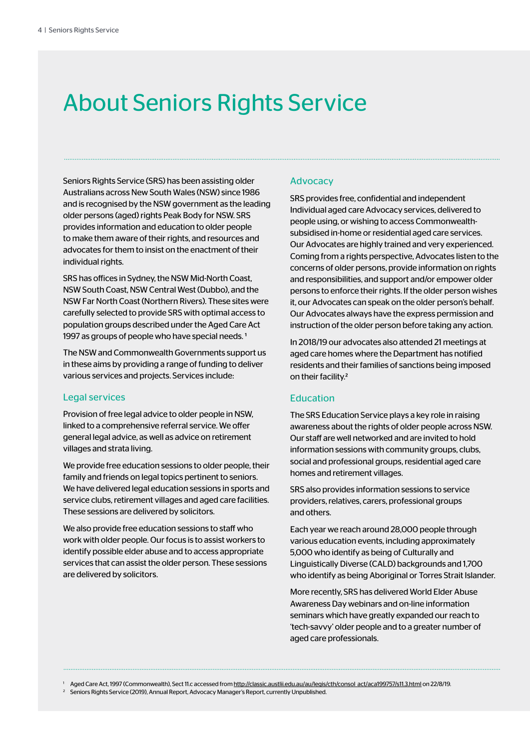## About Seniors Rights Service

Seniors Rights Service (SRS) has been assisting older Australians across New South Wales (NSW) since 1986 and is recognised by the NSW government as the leading older persons (aged) rights Peak Body for NSW. SRS provides information and education to older people to make them aware of their rights, and resources and advocates for them to insist on the enactment of their individual rights.

SRS has offices in Sydney, the NSW Mid-North Coast, NSW South Coast, NSW Central West (Dubbo), and the NSW Far North Coast (Northern Rivers). These sites were carefully selected to provide SRS with optimal access to population groups described under the Aged Care Act 1997 as groups of people who have special needs.<sup>1</sup>

The NSW and Commonwealth Governments support us in these aims by providing a range of funding to deliver various services and projects. Services include:

#### Legal services

Provision of free legal advice to older people in NSW, linked to a comprehensive referral service. We offer general legal advice, as well as advice on retirement villages and strata living.

We provide free education sessions to older people, their family and friends on legal topics pertinent to seniors. We have delivered legal education sessions in sports and service clubs, retirement villages and aged care facilities. These sessions are delivered by solicitors.

We also provide free education sessions to staff who work with older people. Our focus is to assist workers to identify possible elder abuse and to access appropriate services that can assist the older person. These sessions are delivered by solicitors.

## Advocacy

SRS provides free, confidential and independent Individual aged care Advocacy services, delivered to people using, or wishing to access Commonwealthsubsidised in-home or residential aged care services. Our Advocates are highly trained and very experienced. Coming from a rights perspective, Advocates listen to the concerns of older persons, provide information on rights and responsibilities, and support and/or empower older persons to enforce their rights. If the older person wishes it, our Advocates can speak on the older person's behalf. Our Advocates always have the express permission and instruction of the older person before taking any action.

In 2018/19 our advocates also attended 21 meetings at aged care homes where the Department has notified residents and their families of sanctions being imposed on their facility.<sup>2</sup>

### Education

The SRS Education Service plays a key role in raising awareness about the rights of older people across NSW. Our staff are well networked and are invited to hold information sessions with community groups, clubs, social and professional groups, residential aged care homes and retirement villages.

SRS also provides information sessions to service providers, relatives, carers, professional groups and others.

Each year we reach around 28,000 people through various education events, including approximately 5,000 who identify as being of Culturally and Linguistically Diverse (CALD) backgrounds and 1,700 who identify as being Aboriginal or Torres Strait Islander.

More recently, SRS has delivered World Elder Abuse Awareness Day webinars and on-line information seminars which have greatly expanded our reach to 'tech-savvy' older people and to a greater number of aged care professionals.

Aged Care Act, 1997 (Commonwealth), Sect 11.c accessed from [http://classic.austlii.edu.au/au/legis/cth/consol\\_act/aca199757/s11.3.html](http://classic.austlii.edu.au/au/legis/cth/consol_act/aca199757/s11.3.html) on 22/8/19.

2 Seniors Rights Service (2019), Annual Report, Advocacy Manager's Report, currently Unpublished.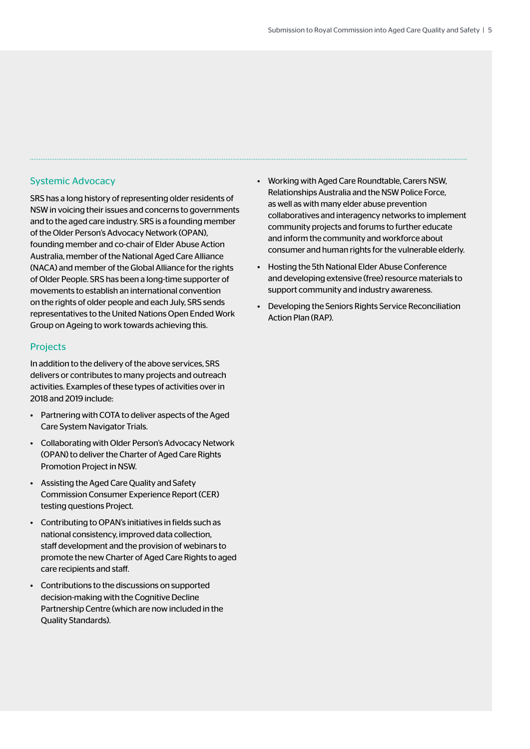### Systemic Advocacy

SRS has a long history of representing older residents of NSW in voicing their issues and concerns to governments and to the aged care industry. SRS is a founding member of the Older Person's Advocacy Network (OPAN), founding member and co-chair of Elder Abuse Action Australia, member of the National Aged Care Alliance (NACA) and member of the Global Alliance for the rights of Older People. SRS has been a long-time supporter of movements to establish an international convention on the rights of older people and each July, SRS sends representatives to the United Nations Open Ended Work Group on Ageing to work towards achieving this.

#### Projects

In addition to the delivery of the above services, SRS delivers or contributes to many projects and outreach activities. Examples of these types of activities over in 2018 and 2019 include:

- Partnering with COTA to deliver aspects of the Aged Care System Navigator Trials.
- Collaborating with Older Person's Advocacy Network (OPAN) to deliver the Charter of Aged Care Rights Promotion Project in NSW.
- Assisting the Aged Care Quality and Safety Commission Consumer Experience Report (CER) testing questions Project.
- Contributing to OPAN's initiatives in fields such as national consistency, improved data collection, staff development and the provision of webinars to promote the new Charter of Aged Care Rights to aged care recipients and staff.
- Contributions to the discussions on supported decision-making with the Cognitive Decline Partnership Centre (which are now included in the Quality Standards).
- Working with Aged Care Roundtable, Carers NSW, Relationships Australia and the NSW Police Force, as well as with many elder abuse prevention collaboratives and interagency networks to implement community projects and forums to further educate and inform the community and workforce about consumer and human rights for the vulnerable elderly.
- Hosting the 5th National Elder Abuse Conference and developing extensive (free) resource materials to support community and industry awareness.
- Developing the Seniors Rights Service Reconciliation Action Plan (RAP).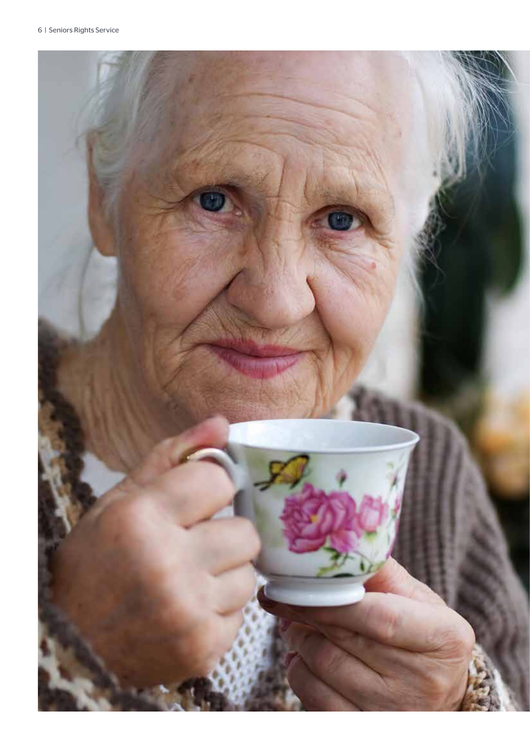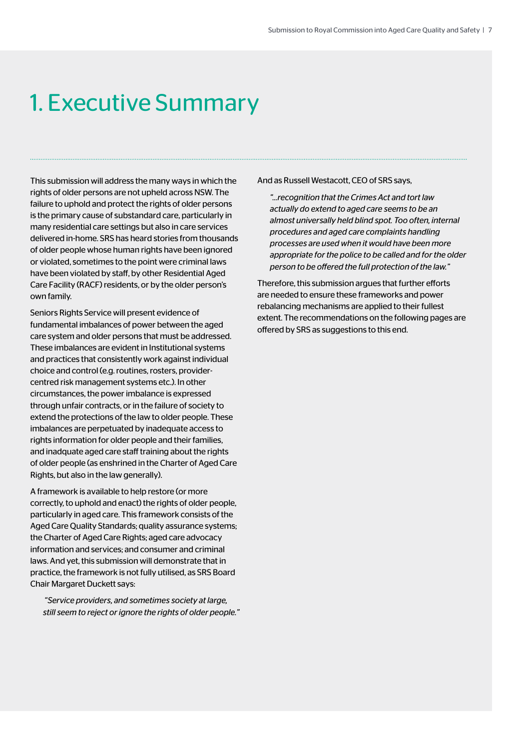## 1. Executive Summary

This submission will address the many ways in which the rights of older persons are not upheld across NSW. The failure to uphold and protect the rights of older persons is the primary cause of substandard care, particularly in many residential care settings but also in care services delivered in-home. SRS has heard stories from thousands of older people whose human rights have been ignored or violated, sometimes to the point were criminal laws have been violated by staff, by other Residential Aged Care Facility (RACF) residents, or by the older person's own family.

Seniors Rights Service will present evidence of fundamental imbalances of power between the aged care system and older persons that must be addressed. These imbalances are evident in Institutional systems and practices that consistently work against individual choice and control (e.g. routines, rosters, providercentred risk management systems etc.). In other circumstances, the power imbalance is expressed through unfair contracts, or in the failure of society to extend the protections of the law to older people. These imbalances are perpetuated by inadequate access to rights information for older people and their families, and inadquate aged care staff training about the rights of older people (as enshrined in the Charter of Aged Care Rights, but also in the law generally).

A framework is available to help restore (or more correctly, to uphold and enact) the rights of older people, particularly in aged care. This framework consists of the Aged Care Quality Standards; quality assurance systems; the Charter of Aged Care Rights; aged care advocacy information and services; and consumer and criminal laws. And yet, this submission will demonstrate that in practice, the framework is not fully utilised, as SRS Board Chair Margaret Duckett says:

 *"Service providers, and sometimes society at large, still seem to reject or ignore the rights of older people."*

#### And as Russell Westacott, CEO of SRS says,

*"…recognition that the Crimes Act and tort law actually do extend to aged care seems to be an almost universally held blind spot. Too often, internal procedures and aged care complaints handling processes are used when it would have been more appropriate for the police to be called and for the older person to be offered the full protection of the law."* 

Therefore, this submission argues that further efforts are needed to ensure these frameworks and power rebalancing mechanisms are applied to their fullest extent. The recommendations on the following pages are offered by SRS as suggestions to this end.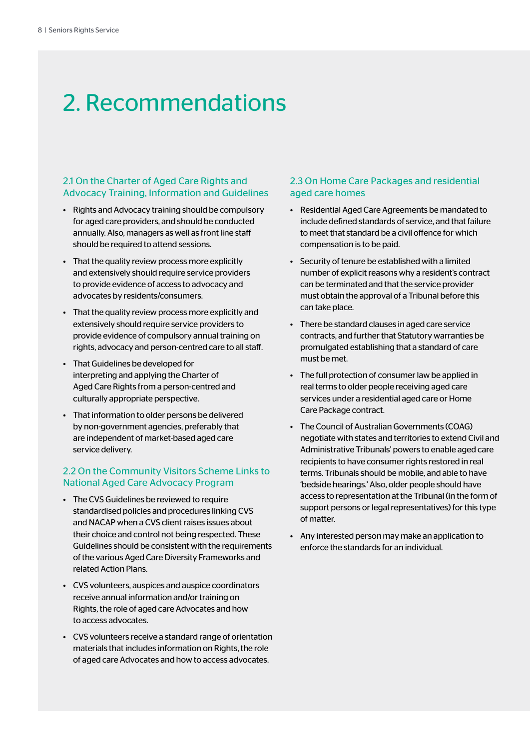# 2. Recommendations

## 2.1 On the Charter of Aged Care Rights and Advocacy Training, Information and Guidelines

- Rights and Advocacy training should be compulsory for aged care providers, and should be conducted annually. Also, managers as well as front line staff should be required to attend sessions.
- That the quality review process more explicitly and extensively should require service providers to provide evidence of access to advocacy and advocates by residents/consumers.
- That the quality review process more explicitly and extensively should require service providers to provide evidence of compulsory annual training on rights, advocacy and person-centred care to all staff.
- That Guidelines be developed for interpreting and applying the Charter of Aged Care Rights from a person-centred and culturally appropriate perspective.
- That information to older persons be delivered by non-government agencies, preferably that are independent of market-based aged care service delivery.

## 2.2 On the Community Visitors Scheme Links to National Aged Care Advocacy Program

- The CVS Guidelines be reviewed to require standardised policies and procedures linking CVS and NACAP when a CVS client raises issues about their choice and control not being respected. These Guidelines should be consistent with the requirements of the various Aged Care Diversity Frameworks and related Action Plans.
- CVS volunteers, auspices and auspice coordinators receive annual information and/or training on Rights, the role of aged care Advocates and how to access advocates.
- CVS volunteers receive a standard range of orientation materials that includes information on Rights, the role of aged care Advocates and how to access advocates.

### 2.3 On Home Care Packages and residential aged care homes

- Residential Aged Care Agreements be mandated to include defined standards of service, and that failure to meet that standard be a civil offence for which compensation is to be paid.
- Security of tenure be established with a limited number of explicit reasons why a resident's contract can be terminated and that the service provider must obtain the approval of a Tribunal before this can take place.
- There be standard clauses in aged care service contracts, and further that Statutory warranties be promulgated establishing that a standard of care must be met.
- The full protection of consumer law be applied in real terms to older people receiving aged care services under a residential aged care or Home Care Package contract.
- The Council of Australian Governments (COAG) negotiate with states and territories to extend Civil and Administrative Tribunals' powers to enable aged care recipients to have consumer rights restored in real terms. Tribunals should be mobile, and able to have 'bedside hearings.' Also, older people should have access to representation at the Tribunal (in the form of support persons or legal representatives) for this type of matter.
- Any interested person may make an application to enforce the standards for an individual.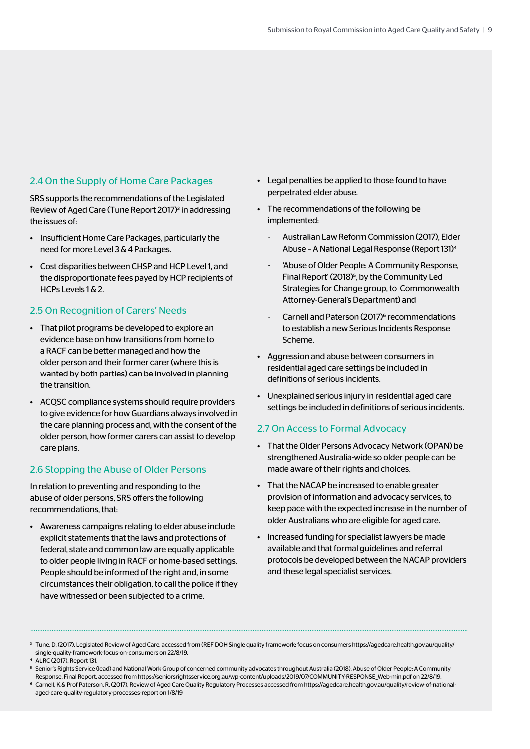### 2.4 On the Supply of Home Care Packages

SRS supports the recommendations of the Legislated Review of Aged Care (Tune Report 2017)3 in addressing the issues of:

- Insufficient Home Care Packages, particularly the need for more Level 3 & 4 Packages.
- Cost disparities between CHSP and HCP Level 1, and the disproportionate fees payed by HCP recipients of HCPs Levels 1 & 2.

#### 2.5 On Recognition of Carers' Needs

- That pilot programs be developed to explore an evidence base on how transitions from home to a RACF can be better managed and how the older person and their former carer (where this is wanted by both parties) can be involved in planning the transition.
- ACOSC compliance systems should require providers to give evidence for how Guardians always involved in the care planning process and, with the consent of the older person, how former carers can assist to develop care plans.

### 2.6 Stopping the Abuse of Older Persons

In relation to preventing and responding to the abuse of older persons, SRS offers the following recommendations, that:

• Awareness campaigns relating to elder abuse include explicit statements that the laws and protections of federal, state and common law are equally applicable to older people living in RACF or home-based settings. People should be informed of the right and, in some circumstances their obligation, to call the police if they have witnessed or been subjected to a crime.

- Legal penalties be applied to those found to have perpetrated elder abuse.
- The recommendations of the following be implemented:
	- Australian Law Reform Commission (2017), Elder Abuse – A National Legal Response (Report 131)4
	- 'Abuse of Older People: A Community Response, Final Report' (2018)<sup>5</sup>, by the Community Led Strategies for Change group, to Commonwealth Attorney-General's Department) and
	- Carnell and Paterson (2017)<sup>6</sup> recommendations to establish a new Serious Incidents Response Scheme.
- Aggression and abuse between consumers in residential aged care settings be included in definitions of serious incidents.
- Unexplained serious injury in residential aged care settings be included in definitions of serious incidents.

#### 2.7 On Access to Formal Advocacy

- That the Older Persons Advocacy Network (OPAN) be strengthened Australia-wide so older people can be made aware of their rights and choices.
- That the NACAP be increased to enable greater provision of information and advocacy services, to keep pace with the expected increase in the number of older Australians who are eligible for aged care.
- Increased funding for specialist lawyers be made available and that formal guidelines and referral protocols be developed between the NACAP providers and these legal specialist services.

<sup>&</sup>lt;sup>3</sup> Tune, D. (2017), Legislated Review of Aged Care, accessed from (REF DOH Single quality framework: focus on consumers [https://agedcare.health.gov.au/quality/](https://agedcare.health.gov.au/quality/single-quality-framework-focus-on-consumers) [single-quality-framework-focus-on-consumers](https://agedcare.health.gov.au/quality/single-quality-framework-focus-on-consumers) on 22/8/19.

<sup>4</sup> ALRC (2017), Report 131.

<sup>5</sup> Senior's Rights Service (lead) and National Work Group of concerned community advocates throughout Australia (2018), Abuse of Older People: A Community Response, Final Report, accessed from [https://seniorsrightsservice.org.au/wp-content/uploads/2019/07/COMMUNITY-RESPONSE\\_Web-min.pdf](https://seniorsrightsservice.org.au/wp-content/uploads/2019/07/COMMUNITY-RESPONSE_Web-min.pdf) on 22/8/19.

<sup>6</sup> Carnell, K.& Prof Paterson, R. (2017), Review of Aged Care Quality Regulatory Processes accessed from [https://agedcare.health.gov.au/quality/review-of-national](https://agedcare.health.gov.au/quality/review-of-national-aged-care-quality-regulatory-processes-report)[aged-care-quality-regulatory-processes-report](https://agedcare.health.gov.au/quality/review-of-national-aged-care-quality-regulatory-processes-report) on 1/8/19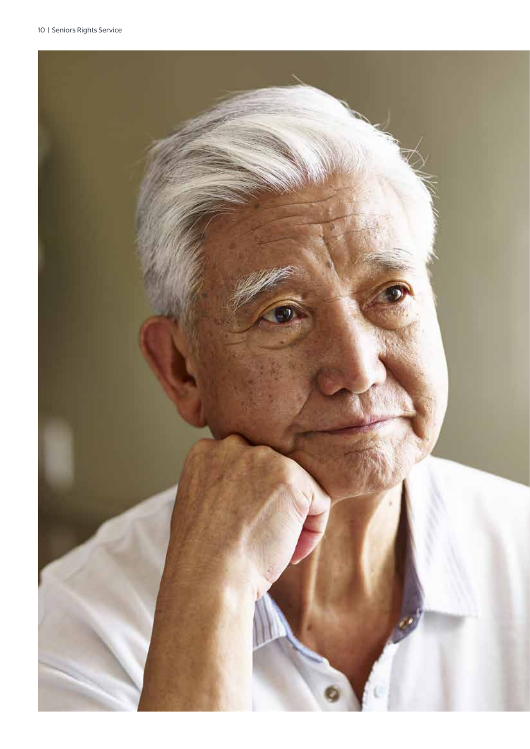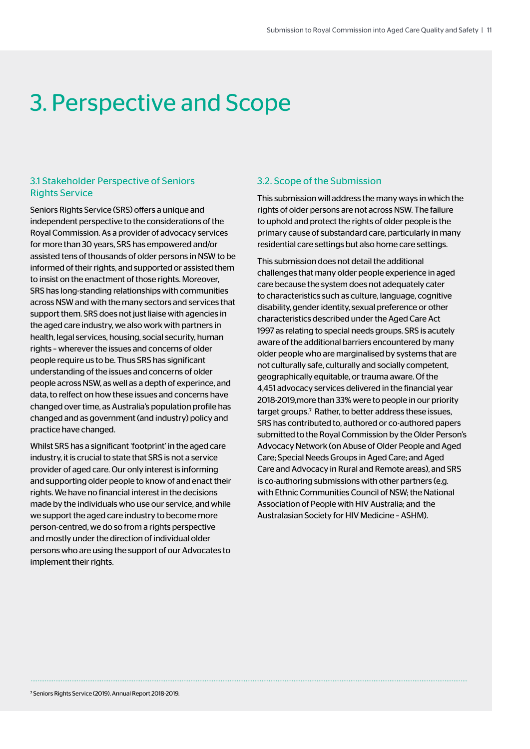## 3. Perspective and Scope

## 3.1 Stakeholder Perspective of Seniors Rights Service

Seniors Rights Service (SRS) offers a unique and independent perspective to the considerations of the Royal Commission. As a provider of advocacy services for more than 30 years, SRS has empowered and/or assisted tens of thousands of older persons in NSW to be informed of their rights, and supported or assisted them to insist on the enactment of those rights. Moreover, SRS has long-standing relationships with communities across NSW and with the many sectors and services that support them. SRS does not just liaise with agencies in the aged care industry, we also work with partners in health, legal services, housing, social security, human rights – wherever the issues and concerns of older people require us to be. Thus SRS has significant understanding of the issues and concerns of older people across NSW, as well as a depth of experince, and data, to relfect on how these issues and concerns have changed over time, as Australia's population profile has changed and as government (and industry) policy and practice have changed.

Whilst SRS has a significant 'footprint' in the aged care industry, it is crucial to state that SRS is not a service provider of aged care. Our only interest is informing and supporting older people to know of and enact their rights. We have no financial interest in the decisions made by the individuals who use our service, and while we support the aged care industry to become more person-centred, we do so from a rights perspective and mostly under the direction of individual older persons who are using the support of our Advocates to implement their rights.

### 3.2. Scope of the Submission

This submission will address the many ways in which the rights of older persons are not across NSW. The failure to uphold and protect the rights of older people is the primary cause of substandard care, particularly in many residential care settings but also home care settings.

This submission does not detail the additional challenges that many older people experience in aged care because the system does not adequately cater to characteristics such as culture, language, cognitive disability, gender identity, sexual preference or other characteristics described under the Aged Care Act 1997 as relating to special needs groups. SRS is acutely aware of the additional barriers encountered by many older people who are marginalised by systems that are not culturally safe, culturally and socially competent, geographically equitable, or trauma aware. Of the 4,451 advocacy services delivered in the financial year 2018-2019,more than 33% were to people in our priority target groups.7 Rather, to better address these issues, SRS has contributed to, authored or co-authored papers submitted to the Royal Commission by the Older Person's Advocacy Network (on Abuse of Older People and Aged Care; Special Needs Groups in Aged Care; and Aged Care and Advocacy in Rural and Remote areas), and SRS is co-authoring submissions with other partners (e.g. with Ethnic Communities Council of NSW; the National Association of People with HIV Australia; and the Australasian Society for HIV Medicine – ASHM).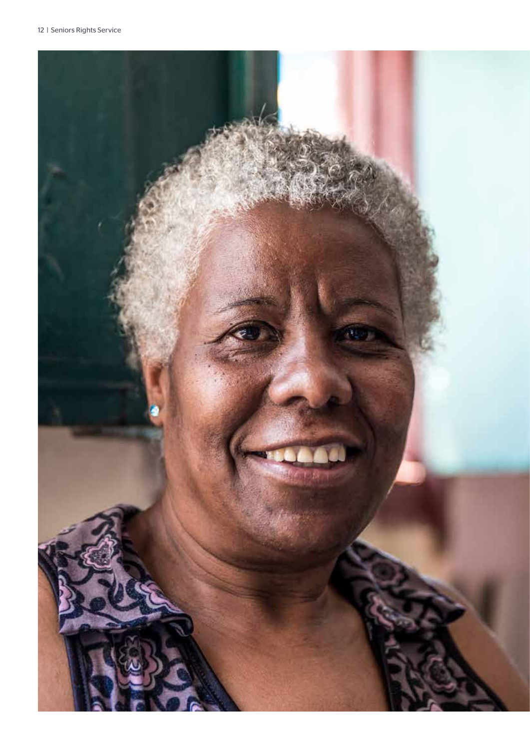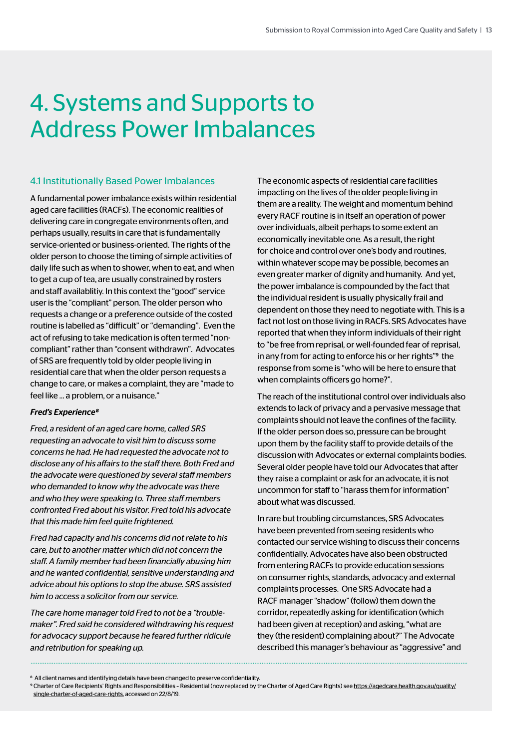## 4. Systems and Supports to Address Power Imbalances

#### 4.1 Institutionally Based Power Imbalances

A fundamental power imbalance exists within residential aged care facilities (RACFs). The economic realities of delivering care in congregate environments often, and perhaps usually, results in care that is fundamentally service-oriented or business-oriented. The rights of the older person to choose the timing of simple activities of daily life such as when to shower, when to eat, and when to get a cup of tea, are usually constrained by rosters and staff availablitiy. In this context the "good" service user is the "compliant" person. The older person who requests a change or a preference outside of the costed routine is labelled as "difficult" or "demanding". Even the act of refusing to take medication is often termed "noncompliant" rather than "consent withdrawn". Advocates of SRS are frequently told by older people living in residential care that when the older person requests a change to care, or makes a complaint, they are "made to feel like … a problem, or a nuisance."

#### *Fred's Experience8*

*Fred, a resident of an aged care home, called SRS requesting an advocate to visit him to discuss some concerns he had. He had requested the advocate not to disclose any of his affairs to the staff there. Both Fred and the advocate were questioned by several staff members who demanded to know why the advocate was there and who they were speaking to. Three staff members confronted Fred about his visitor. Fred told his advocate that this made him feel quite frightened.* 

*Fred had capacity and his concerns did not relate to his care, but to another matter which did not concern the staff. A family member had been financially abusing him and he wanted confidential, sensitive understanding and advice about his options to stop the abuse. SRS assisted him to access a solicitor from our service.* 

*The care home manager told Fred to not be a "troublemaker". Fred said he considered withdrawing his request for advocacy support because he feared further ridicule and retribution for speaking up.*

The economic aspects of residential care facilities impacting on the lives of the older people living in them are a reality. The weight and momentum behind every RACF routine is in itself an operation of power over individuals, albeit perhaps to some extent an economically inevitable one. As a result, the right for choice and control over one's body and routines, within whatever scope may be possible, becomes an even greater marker of dignity and humanity. And yet, the power imbalance is compounded by the fact that the individual resident is usually physically frail and dependent on those they need to negotiate with. This is a fact not lost on those living in RACFs. SRS Advocates have reported that when they inform individuals of their right to "be free from reprisal, or well-founded fear of reprisal, in any from for acting to enforce his or her rights"9 the response from some is "who will be here to ensure that when complaints officers go home?".

The reach of the institutional control over individuals also extends to lack of privacy and a pervasive message that complaints should not leave the confines of the facility. If the older person does so, pressure can be brought upon them by the facility staff to provide details of the discussion with Advocates or external complaints bodies. Several older people have told our Advocates that after they raise a complaint or ask for an advocate, it is not uncommon for staff to "harass them for information" about what was discussed.

In rare but troubling circumstances, SRS Advocates have been prevented from seeing residents who contacted our service wishing to discuss their concerns confidentially. Advocates have also been obstructed from entering RACFs to provide education sessions on consumer rights, standards, advocacy and external complaints processes. One SRS Advocate had a RACF manager "shadow" (follow) them down the corridor, repeatedly asking for identification (which had been given at reception) and asking, "what are they (the resident) complaining about?" The Advocate described this manager's behaviour as "aggressive" and

<sup>8</sup> All client names and identifying details have been changed to preserve confidentiality.

<sup>&</sup>lt;sup>9</sup> Charter of Care Recipients' Rights and Responsibilities - Residential (now replaced by the Charter of Aged Care Rights) see [https://agedcare.health.gov.au/quality/](https://agedcare.health.gov.au/quality/single-charter-of-aged-care-rights) [single-charter-of-aged-care-rights](https://agedcare.health.gov.au/quality/single-charter-of-aged-care-rights), accessed on 22/8/19.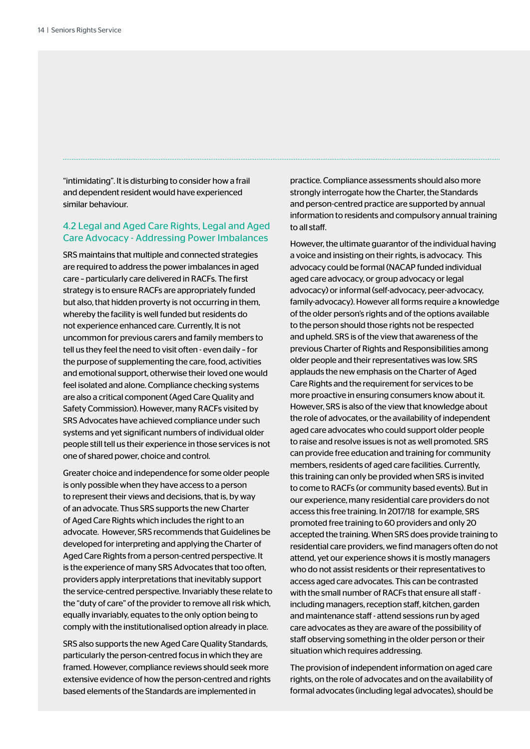"intimidating". It is disturbing to consider how a frail and dependent resident would have experienced similar behaviour.

### 4.2 Legal and Aged Care Rights, Legal and Aged Care Advocacy - Addressing Power Imbalances

SRS maintains that multiple and connected strategies are required to address the power imbalances in aged care – particularly care delivered in RACFs. The first strategy is to ensure RACFs are appropriately funded but also, that hidden proverty is not occurring in them, whereby the facility is well funded but residents do not experience enhanced care. Currently, It is not uncommon for previous carers and family members to tell us they feel the need to visit often - even daily – for the purpose of supplementing the care, food, activities and emotional support, otherwise their loved one would feel isolated and alone. Compliance checking systems are also a critical component (Aged Care Quality and Safety Commission). However, many RACFs visited by SRS Advocates have achieved compliance under such systems and yet significant numbers of individual older people still tell us their experience in those services is not one of shared power, choice and control.

Greater choice and independence for some older people is only possible when they have access to a person to represent their views and decisions, that is, by way of an advocate. Thus SRS supports the new Charter of Aged Care Rights which includes the right to an advocate. However, SRS recommends that Guidelines be developed for interpreting and applying the Charter of Aged Care Rights from a person-centred perspective. It is the experience of many SRS Advocates that too often, providers apply interpretations that inevitably support the service-centred perspective. Invariably these relate to the "duty of care" of the provider to remove all risk which, equally invariably, equates to the only option being to comply with the institutionalised option already in place.

SRS also supports the new Aged Care Quality Standards, particularly the person-centred focus in which they are framed. However, compliance reviews should seek more extensive evidence of how the person-centred and rights based elements of the Standards are implemented in

practice. Compliance assessments should also more strongly interrogate how the Charter, the Standards and person-centred practice are supported by annual information to residents and compulsory annual training to all staff.

However, the ultimate guarantor of the individual having a voice and insisting on their rights, is advocacy. This advocacy could be formal (NACAP funded individual aged care advocacy, or group advocacy or legal advocacy) or informal (self-advocacy, peer-advocacy, family-advocacy). However all forms require a knowledge of the older person's rights and of the options available to the person should those rights not be respected and upheld. SRS is of the view that awareness of the previous Charter of Rights and Responsibilities among older people and their representatives was low. SRS applauds the new emphasis on the Charter of Aged Care Rights and the requirement for services to be more proactive in ensuring consumers know about it. However, SRS is also of the view that knowledge about the role of advocates, or the availability of independent aged care advocates who could support older people to raise and resolve issues is not as well promoted. SRS can provide free education and training for community members, residents of aged care facilities. Currently, this training can only be provided when SRS is invited to come to RACFs (or community based events). But in our experience, many residential care providers do not access this free training. In 2017/18 for example, SRS promoted free training to 60 providers and only 20 accepted the training. When SRS does provide training to residential care providers, we find managers often do not attend, yet our experience shows it is mostly managers who do not assist residents or their representatives to access aged care advocates. This can be contrasted with the small number of RACFs that ensure all staff including managers, reception staff, kitchen, garden and maintenance staff - attend sessions run by aged care advocates as they are aware of the possibility of staff observing something in the older person or their situation which requires addressing.

The provision of independent information on aged care rights, on the role of advocates and on the availability of formal advocates (including legal advocates), should be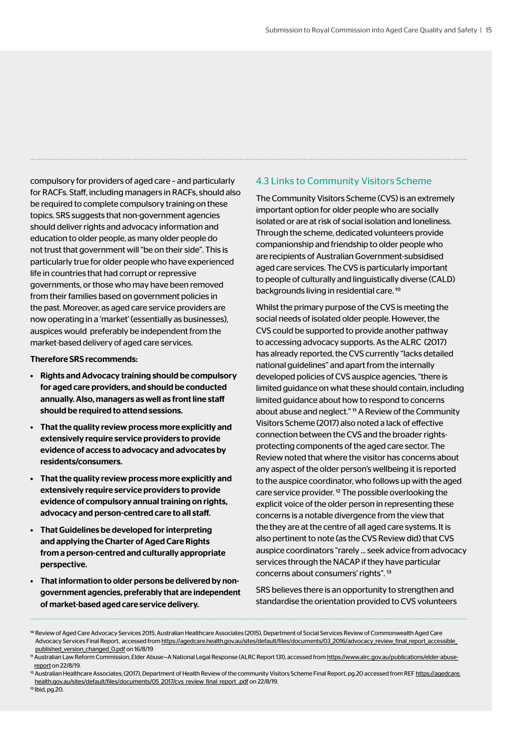compulsory for providers of aged care – and particularly for RACFs. Staff, including managers in RACFs, should also be required to complete compulsory training on these topics. SRS suggests that non-government agencies should deliver rights and advocacy information and education to older people, as many older people do not trust that government will "be on their side". This is particularly true for older people who have experienced life in countries that had corrupt or repressive governments, or those who may have been removed from their families based on government policies in the past. Moreover, as aged care service providers are now operating in a 'market' (essentially as businesses), auspices would preferably be independent from the market-based delivery of aged care services.

#### Therefore SRS recommends:

- Rights and Advocacy training should be compulsory for aged care providers, and should be conducted annually. Also, managers as well as front line staff should be required to attend sessions.
- That the quality review process more explicitly and extensively require service providers to provide evidence of access to advocacy and advocates by residents/consumers.
- That the quality review process more explicitly and extensively require service providers to provide evidence of compulsory annual training on rights, advocacy and person-centred care to all staff.
- That Guidelines be developed for interpreting and applying the Charter of Aged Care Rights from a person-centred and culturally appropriate perspective.
- That information to older persons be delivered by nongovernment agencies, preferably that are independent of market-based aged care service delivery.

#### 4.3 Links to Community Visitors Scheme

The Community Visitors Scheme (CVS) is an extremely important option for older people who are socially isolated or are at risk of social isolation and loneliness. Through the scheme, dedicated volunteers provide companionship and friendship to older people who are recipients of Australian Government-subsidised aged care services. The CVS is particularly important to people of culturally and linguistically diverse (CALD) backgrounds living in residential care. 10

Whilst the primary purpose of the CVS is meeting the social needs of isolated older people. However, the CVS could be supported to provide another pathway to accessing advocacy supports. As the ALRC (2017) has already reported, the CVS currently "lacks detailed national guidelines" and apart from the internally developed policies of CVS auspice agencies, "there is limited guidance on what these should contain, including limited guidance about how to respond to concerns about abuse and neglect." 11 A Review of the Community Visitors Scheme (2017) also noted a lack of effective connection between the CVS and the broader rightsprotecting components of the aged care sector. The Review noted that where the visitor has concerns about any aspect of the older person's wellbeing it is reported to the auspice coordinator, who follows up with the aged care service provider.<sup>12</sup> The possible overlooking the explicit voice of the older person in representing these concerns is a notable divergence from the view that the they are at the centre of all aged care systems. It is also pertinent to note (as the CVS Review did) that CVS auspice coordinators "rarely … seek advice from advocacy services through the NACAP if they have particular concerns about consumers' rights". 13

SRS believes there is an opportunity to strengthen and standardise the orientation provided to CVS volunteers

13 Ibid, pg.20.

<sup>10</sup> Review of Aged Care Advocacy Services 2015, Australian Healthcare Associates (2015), Department of Social Services Review of Commonwealth Aged Care Advocacy Services Final Report, accessed from [https://agedcare.health.gov.au/sites/default/files/documents/03\\_2016/advocacy\\_review\\_final\\_report\\_accessible\\_](https://agedcare.health.gov.au/sites/default/files/documents/03_2016/advocacy_review_final_report_accessible_published_version_changed_0.pdf) [published\\_version\\_changed\\_0.pdf](https://agedcare.health.gov.au/sites/default/files/documents/03_2016/advocacy_review_final_report_accessible_published_version_changed_0.pdf) on 16/8/19

<sup>11</sup> Australian Law Reform Commission, Elder Abuse-A National Legal Response (ALRC Report 131), accessed from [https://www.alrc.gov.au/publications/elder-abuse](https://www.alrc.gov.au/publications/elder-abuse-report)[report](https://www.alrc.gov.au/publications/elder-abuse-report) on 22/8/19.

<sup>&</sup>lt;sup>12</sup> Australian Healthcare Associates, (2017), Department of Health Review of the community Visitors Scheme Final Report, pg.20 accessed from REF [https://agedcare.](https://agedcare.health.gov.au/sites/default/files/documents/05_2017/cvs_review_final_report_.pdf) [health.gov.au/sites/default/files/documents/05\\_2017/cvs\\_review\\_final\\_report\\_.pdf](https://agedcare.health.gov.au/sites/default/files/documents/05_2017/cvs_review_final_report_.pdf) on 22/8/19.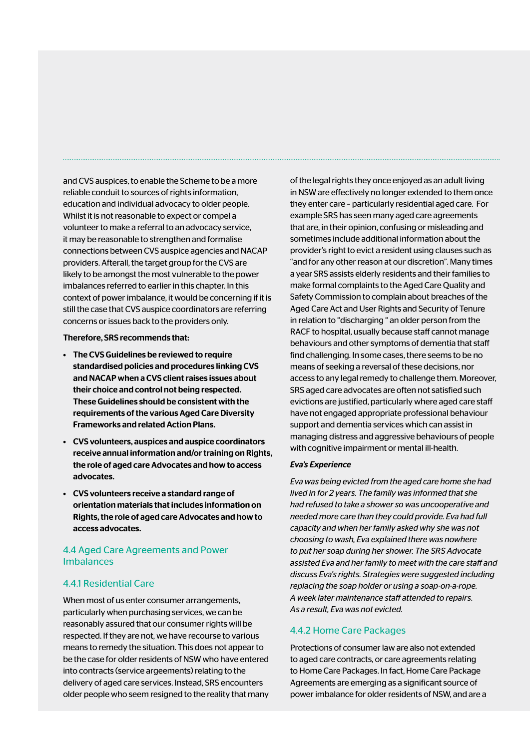and CVS auspices, to enable the Scheme to be a more reliable conduit to sources of rights information, education and individual advocacy to older people. Whilst it is not reasonable to expect or compel a volunteer to make a referral to an advocacy service, it may be reasonable to strengthen and formalise connections between CVS auspice agencies and NACAP providers. Afterall, the target group for the CVS are likely to be amongst the most vulnerable to the power imbalances referred to earlier in this chapter. In this context of power imbalance, it would be concerning if it is still the case that CVS auspice coordinators are referring concerns or issues back to the providers only.

#### Therefore, SRS recommends that:

- The CVS Guidelines be reviewed to require standardised policies and procedures linking CVS and NACAP when a CVS client raises issues about their choice and control not being respected. These Guidelines should be consistent with the requirements of the various Aged Care Diversity Frameworks and related Action Plans.
- CVS volunteers, auspices and auspice coordinators receive annual information and/or training on Rights, the role of aged care Advocates and how to access advocates.
- CVS volunteers receive a standard range of orientation materials that includes information on Rights, the role of aged care Advocates and how to access advocates.

### 4.4 Aged Care Agreements and Power Imbalances

#### 4.4.1 Residential Care

When most of us enter consumer arrangements, particularly when purchasing services, we can be reasonably assured that our consumer rights will be respected. If they are not, we have recourse to various means to remedy the situation. This does not appear to be the case for older residents of NSW who have entered into contracts (service argeements) relating to the delivery of aged care services. Instead, SRS encounters older people who seem resigned to the reality that many of the legal rights they once enjoyed as an adult living in NSW are effectively no longer extended to them once they enter care – particularly residential aged care. For example SRS has seen many aged care agreements that are, in their opinion, confusing or misleading and sometimes include additional information about the provider's right to evict a resident using clauses such as "and for any other reason at our discretion". Many times a year SRS assists elderly residents and their families to make formal complaints to the Aged Care Quality and Safety Commission to complain about breaches of the Aged Care Act and User Rights and Security of Tenure in relation to "discharging " an older person from the RACF to hospital, usually because staff cannot manage behaviours and other symptoms of dementia that staff find challenging. In some cases, there seems to be no means of seeking a reversal of these decisions, nor access to any legal remedy to challenge them. Moreover, SRS aged care advocates are often not satisfied such evictions are justified, particularly where aged care staff have not engaged appropriate professional behaviour support and dementia services which can assist in managing distress and aggressive behaviours of people with cognitive impairment or mental ill-health.

#### *Eva's Experience*

*Eva was being evicted from the aged care home she had lived in for 2 years. The family was informed that she had refused to take a shower so was uncooperative and needed more care than they could provide. Eva had full capacity and when her family asked why she was not choosing to wash, Eva explained there was nowhere to put her soap during her shower. The SRS Advocate assisted Eva and her family to meet with the care staff and discuss Eva's rights. Strategies were suggested including replacing the soap holder or using a soap-on-a-rope. A week later maintenance staff attended to repairs. As a result, Eva was not evicted.* 

#### 4.4.2 Home Care Packages

Protections of consumer law are also not extended to aged care contracts, or care agreements relating to Home Care Packages. In fact, Home Care Package Agreements are emerging as a significant source of power imbalance for older residents of NSW, and are a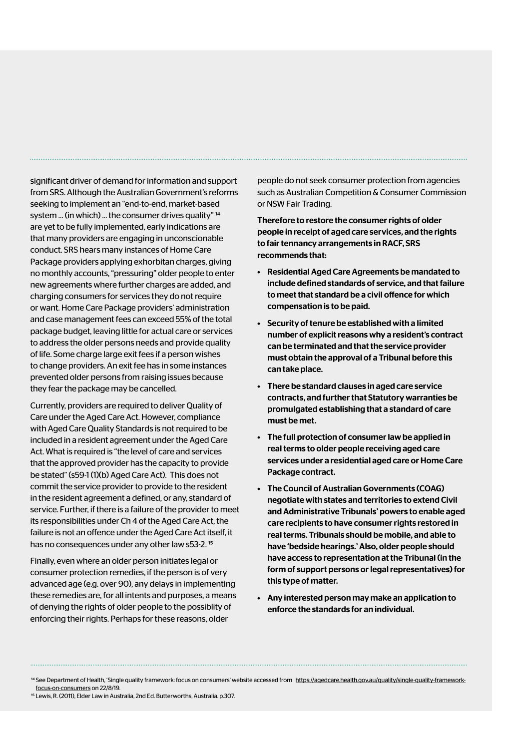significant driver of demand for information and support from SRS. Although the Australian Government's reforms seeking to implement an "end-to-end, market-based system … (in which) … the consumer drives quality" 14 are yet to be fully implemented, early indications are that many providers are engaging in unconscionable conduct. SRS hears many instances of Home Care Package providers applying exhorbitan charges, giving no monthly accounts, "pressuring" older people to enter new agreements where further charges are added, and charging consumers for services they do not require or want. Home Care Package providers' administration and case management fees can exceed 55% of the total package budget, leaving little for actual care or services to address the older persons needs and provide quality of life. Some charge large exit fees if a person wishes to change providers. An exit fee has in some instances prevented older persons from raising issues because they fear the package may be cancelled.

Currently, providers are required to deliver Quality of Care under the Aged Care Act. However, compliance with Aged Care Quality Standards is not required to be included in a resident agreement under the Aged Care Act. What is required is "the level of care and services that the approved provider has the capacity to provide be stated" (s59-1 (1)(b) Aged Care Act). This does not commit the service provider to provide to the resident in the resident agreement a defined, or any, standard of service. Further, if there is a failure of the provider to meet its responsibilities under Ch 4 of the Aged Care Act, the failure is not an offence under the Aged Care Act itself, it has no consequences under any other law s53-2. 15

Finally, even where an older person initiates legal or consumer protection remedies, if the person is of very advanced age (e.g. over 90), any delays in implementing these remedies are, for all intents and purposes, a means of denying the rights of older people to the possiblity of enforcing their rights. Perhaps for these reasons, older

people do not seek consumer protection from agencies such as Australian Competition & Consumer Commission or NSW Fair Trading.

Therefore to restore the consumer rights of older people in receipt of aged care services, and the rights to fair tennancy arrangements in RACF, SRS recommends that:

- Residential Aged Care Agreements be mandated to include defined standards of service, and that failure to meet that standard be a civil offence for which compensation is to be paid.
- Security of tenure be established with a limited number of explicit reasons why a resident's contract can be terminated and that the service provider must obtain the approval of a Tribunal before this can take place.
- There be standard clauses in aged care service contracts, and further that Statutory warranties be promulgated establishing that a standard of care must be met.
- The full protection of consumer law be applied in real terms to older people receiving aged care services under a residential aged care or Home Care Package contract.
- The Council of Australian Governments (COAG) negotiate with states and territories to extend Civil and Administrative Tribunals' powers to enable aged care recipients to have consumer rights restored in real terms. Tribunals should be mobile, and able to have 'bedside hearings.' Also, older people should have access to representation at the Tribunal (in the form of support persons or legal representatives) for this type of matter.
- Any interested person may make an application to enforce the standards for an individual.

<sup>&</sup>lt;sup>14</sup> See Department of Health, 'Single quality framework: focus on consumers' website accessed from [https://agedcare.health.gov.au/quality/single-quality-framework](https://agedcare.health.gov.au/quality/single-quality-framework-focus-on-consumers)[focus-on-consumers](https://agedcare.health.gov.au/quality/single-quality-framework-focus-on-consumers) on 22/8/19.

 <sup>15</sup> Lewis, R. (2011), Elder Law in Australia, 2nd Ed. Butterworths, Australia. p.307.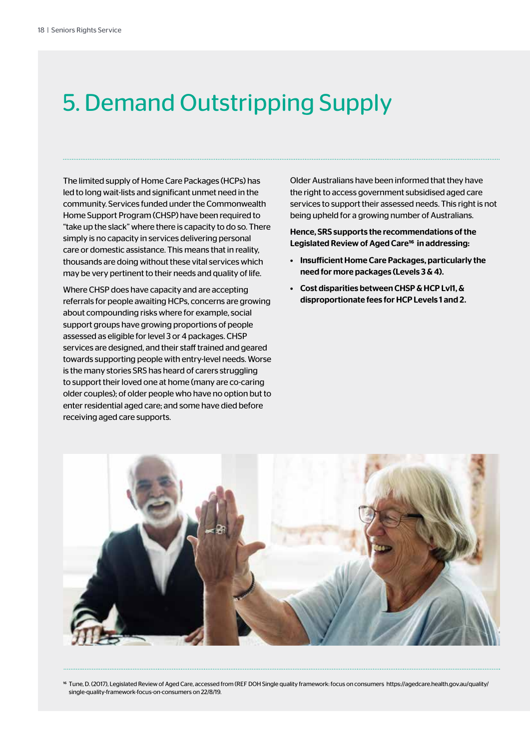## 5. Demand Outstripping Supply

The limited supply of Home Care Packages (HCPs) has led to long wait-lists and significant unmet need in the community. Services funded under the Commonwealth Home Support Program (CHSP) have been required to "take up the slack" where there is capacity to do so. There simply is no capacity in services delivering personal care or domestic assistance. This means that in reality, thousands are doing without these vital services which may be very pertinent to their needs and quality of life.

Where CHSP does have capacity and are accepting referrals for people awaiting HCPs, concerns are growing about compounding risks where for example, social support groups have growing proportions of people assessed as eligible for level 3 or 4 packages. CHSP services are designed, and their staff trained and geared towards supporting people with entry-level needs. Worse is the many stories SRS has heard of carers struggling to support their loved one at home (many are co-caring older couples); of older people who have no option but to enter residential aged care; and some have died before receiving aged care supports.

Older Australians have been informed that they have the right to access government subsidised aged care services to support their assessed needs. This right is not being upheld for a growing number of Australians.

Hence, SRS supports the recommendations of the Legislated Review of Aged Care<sup>16</sup> in addressing:

- Insufficient Home Care Packages, particularly the need for more packages (Levels 3 & 4).
- Cost disparities between CHSP & HCP Lvl1, & disproportionate fees for HCP Levels 1 and 2.



16 Tune, D. (2017), Legislated Review of Aged Care, accessed from (REF DOH Single quality framework: focus on consumers https://agedcare.health.gov.au/quality/ single-quality-framework-focus-on-consumers on 22/8/19.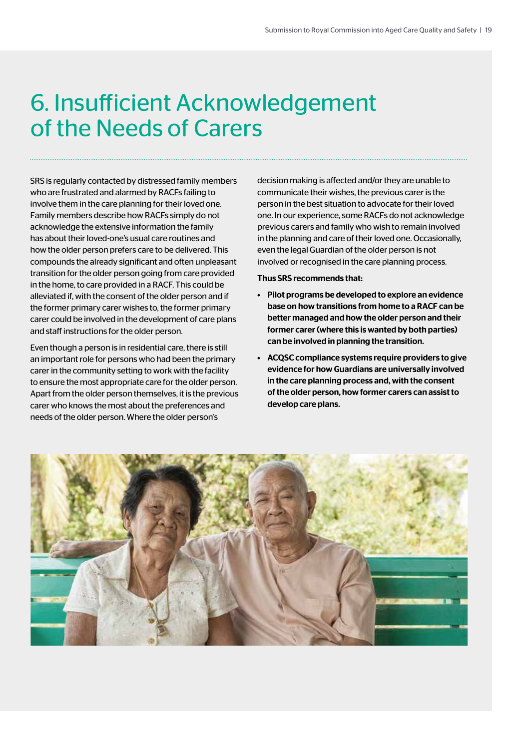## 6. Insufficient Acknowledgement of the Needs of Carers

SRS is regularly contacted by distressed family members who are frustrated and alarmed by RACFs failing to involve them in the care planning for their loved one. Family members describe how RACFs simply do not acknowledge the extensive information the family has about their loved-one's usual care routines and how the older person prefers care to be delivered. This compounds the already significant and often unpleasant transition for the older person going from care provided in the home, to care provided in a RACF. This could be alleviated if, with the consent of the older person and if the former primary carer wishes to, the former primary carer could be involved in the development of care plans and staff instructions for the older person.

Even though a person is in residential care, there is still an important role for persons who had been the primary carer in the community setting to work with the facility to ensure the most appropriate care for the older person. Apart from the older person themselves, it is the previous carer who knows the most about the preferences and needs of the older person. Where the older person's

decision making is affected and/or they are unable to communicate their wishes, the previous carer is the person in the best situation to advocate for their loved one. In our experience, some RACFs do not acknowledge previous carers and family who wish to remain involved in the planning and care of their loved one. Occasionally, even the legal Guardian of the older person is not involved or recognised in the care planning process.

#### Thus SRS recommends that:

- Pilot programs be developed to explore an evidence base on how transitions from home to a RACF can be better managed and how the older person and their former carer (where this is wanted by both parties) can be involved in planning the transition.
- ACQSC compliance systems require providers to give evidence for how Guardians are universally involved in the care planning process and, with the consent of the older person, how former carers can assist to develop care plans.

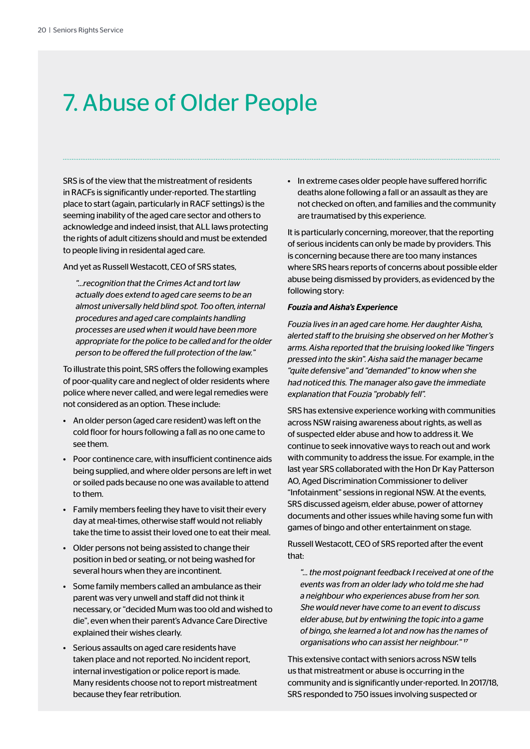## 7. Abuse of Older People

SRS is of the view that the mistreatment of residents in RACFs is significantly under-reported. The startling place to start (again, particularly in RACF settings) is the seeming inability of the aged care sector and others to acknowledge and indeed insist, that ALL laws protecting the rights of adult citizens should and must be extended to people living in residental aged care.

And yet as Russell Westacott, CEO of SRS states,

*"…recognition that the Crimes Act and tort law actually does extend to aged care seems to be an almost universally held blind spot. Too often, internal procedures and aged care complaints handling processes are used when it would have been more appropriate for the police to be called and for the older person to be offered the full protection of the law."* 

To illustrate this point, SRS offers the following examples of poor-quality care and neglect of older residents where police where never called, and were legal remedies were not considered as an option. These include:

- An older person (aged care resident) was left on the cold floor for hours following a fall as no one came to see them.
- Poor continence care, with insufficient continence aids being supplied, and where older persons are left in wet or soiled pads because no one was available to attend to them.
- Family members feeling they have to visit their every day at meal-times, otherwise staff would not reliably take the time to assist their loved one to eat their meal.
- Older persons not being assisted to change their position in bed or seating, or not being washed for several hours when they are incontinent.
- Some family members called an ambulance as their parent was very unwell and staff did not think it necessary, or "decided Mum was too old and wished to die", even when their parent's Advance Care Directive explained their wishes clearly.
- Serious assaults on aged care residents have taken place and not reported. No incident report, internal investigation or police report is made. Many residents choose not to report mistreatment because they fear retribution.

• In extreme cases older people have suffered horrific deaths alone following a fall or an assault as they are not checked on often, and families and the community are traumatised by this experience.

It is particularly concerning, moreover, that the reporting of serious incidents can only be made by providers. This is concerning because there are too many instances where SRS hears reports of concerns about possible elder abuse being dismissed by providers, as evidenced by the following story:

#### *Fouzia and Aisha's Experience*

*Fouzia lives in an aged care home. Her daughter Aisha, alerted staff to the bruising she observed on her Mother's arms. Aisha reported that the bruising looked like "fingers pressed into the skin". Aisha said the manager became "quite defensive" and "demanded" to know when she had noticed this. The manager also gave the immediate explanation that Fouzia "probably fell".*

SRS has extensive experience working with communities across NSW raising awareness about rights, as well as of suspected elder abuse and how to address it. We continue to seek innovative ways to reach out and work with community to address the issue. For example, in the last year SRS collaborated with the Hon Dr Kay Patterson AO, Aged Discrimination Commissioner to deliver "Infotainment" sessions in regional NSW. At the events, SRS discussed ageism, elder abuse, power of attorney documents and other issues while having some fun with games of bingo and other entertainment on stage.

Russell Westacott, CEO of SRS reported after the event that:

*"… the most poignant feedback I received at one of the events was from an older lady who told me she had a neighbour who experiences abuse from her son. She would never have come to an event to discuss elder abuse, but by entwining the topic into a game of bingo, she learned a lot and now has the names of organisations who can assist her neighbour." 17*

This extensive contact with seniors across NSW tells us that mistreatment or abuse is occurring in the community and is significantly under-reported. In 2017/18, SRS responded to 750 issues involving suspected or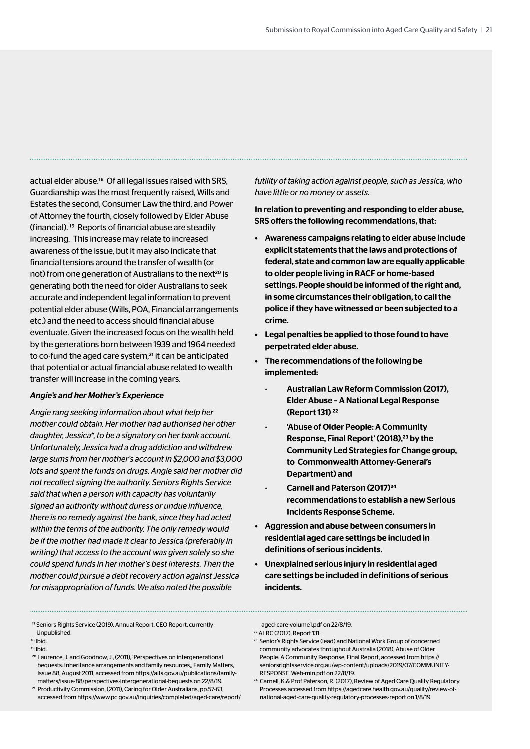actual elder abuse.18 Of all legal issues raised with SRS, Guardianship was the most frequently raised, Wills and Estates the second, Consumer Law the third, and Power of Attorney the fourth, closely followed by Elder Abuse (financial). 19 Reports of financial abuse are steadily increasing. This increase may relate to increased awareness of the issue, but it may also indicate that financial tensions around the transfer of wealth (or not) from one generation of Australians to the next<sup>20</sup> is generating both the need for older Australians to seek accurate and independent legal information to prevent potential elder abuse (Wills, POA, Financial arrangements etc.) and the need to access should financial abuse eventuate. Given the increased focus on the wealth held by the generations born between 1939 and 1964 needed to co-fund the aged care system,<sup>21</sup> it can be anticipated that potential or actual financial abuse related to wealth transfer will increase in the coming years.

#### *Angie's and her Mother's Experience*

*Angie rang seeking information about what help her mother could obtain. Her mother had authorised her other daughter, Jessica\*, to be a signatory on her bank account. Unfortunately, Jessica had a drug addiction and withdrew large sums from her mother's account in \$2,000 and \$3,000 lots and spent the funds on drugs. Angie said her mother did not recollect signing the authority. Seniors Rights Service said that when a person with capacity has voluntarily signed an authority without duress or undue influence, there is no remedy against the bank, since they had acted within the terms of the authority. The only remedy would be if the mother had made it clear to Jessica (preferably in writing) that access to the account was given solely so she could spend funds in her mother's best interests. Then the mother could pursue a debt recovery action against Jessica for misappropriation of funds. We also noted the possible* 

*futility of taking action against people, such as Jessica, who have little or no money or assets.*

In relation to preventing and responding to elder abuse, SRS offers the following recommendations, that:

- Awareness campaigns relating to elder abuse include explicit statements that the laws and protections of federal, state and common law are equally applicable to older people living in RACF or home-based settings. People should be informed of the right and, in some circumstances their obligation, to call the police if they have witnessed or been subjected to a crime.
- Legal penalties be applied to those found to have perpetrated elder abuse.
- The recommendations of the following be implemented:
	- Australian Law Reform Commission (2017), Elder Abuse – A National Legal Response (Report 131) 22
	- 'Abuse of Older People: A Community Response, Final Report' (2018),<sup>23</sup> by the Community Led Strategies for Change group, to Commonwealth Attorney-General's Department) and
	- Carnell and Paterson (2017)<sup>24</sup> recommendations to establish a new Serious Incidents Response Scheme.
- Aggression and abuse between consumers in residential aged care settings be included in definitions of serious incidents.
- Unexplained serious injury in residential aged care settings be included in definitions of serious incidents.

 <sup>17</sup> Seniors Rights Service (2019), Annual Report, CEO Report, currently Unpublished.

<sup>18</sup> Ibid.

<sup>19</sup> Ibid.

 <sup>20</sup> Laurence, J. and Goodnow, J., (2011), 'Perspectives on intergenerational bequests: Inheritance arrangements and family resources,, Family Matters, Issue 88, August 2011, accessed from https://aifs.gov.au/publications/familymatters/issue-88/perspectives-intergenerational-bequests on 22/8/19.

 <sup>21</sup> Productivity Commission, (2011), Caring for Older Australians, pp.57-63, accessed from https://www.pc.gov.au/inquiries/completed/aged-care/report/

aged-care-volume1.pdf on 22/8/19.

<sup>22</sup> ALRC (2017), Report 131.

<sup>&</sup>lt;sup>23</sup> Senior's Rights Service (lead) and National Work Group of concerned community advocates throughout Australia (2018), Abuse of Older People: A Community Response, Final Report, accessed from https:// seniorsrightsservice.org.au/wp-content/uploads/2019/07/COMMUNITY-RESPONSE\_Web-min.pdf on 22/8/19.

<sup>&</sup>lt;sup>24</sup> Carnell, K.& Prof Paterson, R. (2017), Review of Aged Care Quality Regulatory Processes accessed from https://agedcare.health.gov.au/quality/review-ofnational-aged-care-quality-regulatory-processes-report on 1/8/19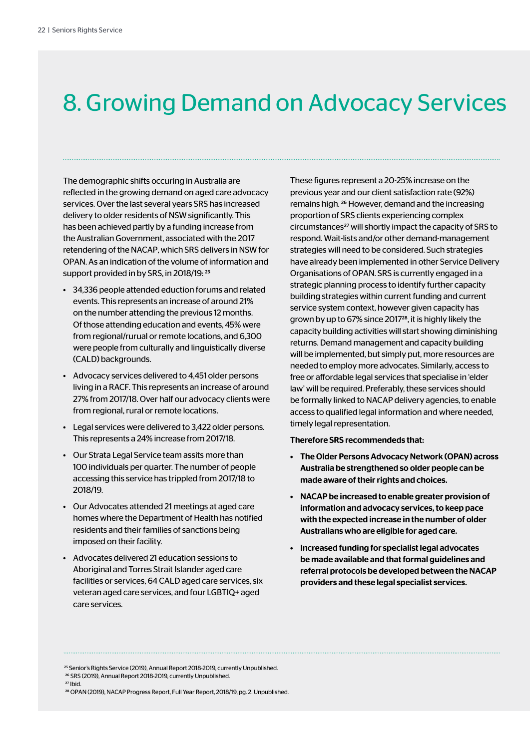## 8. Growing Demand on Advocacy Services

The demographic shifts occuring in Australia are reflected in the growing demand on aged care advocacy services. Over the last several years SRS has increased delivery to older residents of NSW significantly. This has been achieved partly by a funding increase from the Australian Government, associated with the 2017 retendering of the NACAP, which SRS delivers in NSW for OPAN. As an indication of the volume of information and support provided in by SRS, in 2018/19: 25

- 34,336 people attended eduction forums and related events. This represents an increase of around 21% on the number attending the previous 12 months. Of those attending education and events, 45% were from regional/rurual or remote locations, and 6,300 were people from culturally and linguistically diverse (CALD) backgrounds.
- Advocacy services delivered to 4,451 older persons living in a RACF. This represents an increase of around 27% from 2017/18. Over half our advocacy clients were from regional, rural or remote locations.
- Legal services were delivered to 3,422 older persons. This represents a 24% increase from 2017/18.
- Our Strata Legal Service team assits more than 100 individuals per quarter. The number of people accessing this service has trippled from 2017/18 to 2018/19.
- Our Advocates attended 21 meetings at aged care homes where the Department of Health has notified residents and their families of sanctions being imposed on their facility.
- Advocates delivered 21 education sessions to Aboriginal and Torres Strait Islander aged care facilities or services, 64 CALD aged care services, six veteran aged care services, and four LGBTIQ+ aged care services.

These figures represent a 20-25% increase on the previous year and our client satisfaction rate (92%) remains high. 26 However, demand and the increasing proportion of SRS clients experiencing complex circumstances<sup>27</sup> will shortly impact the capacity of SRS to respond. Wait-lists and/or other demand-management strategies will need to be considered. Such strategies have already been implemented in other Service Delivery Organisations of OPAN. SRS is currently engaged in a strategic planning process to identify further capacity building strategies within current funding and current service system context, however given capacity has grown by up to 67% since 201728, it is highly likely the capacity building activities will start showing diminishing returns. Demand management and capacity building will be implemented, but simply put, more resources are needed to employ more advocates. Similarly, access to free or affordable legal services that specialise in 'elder law' will be required. Preferably, these services should be formally linked to NACAP delivery agencies, to enable access to qualified legal information and where needed, timely legal representation.

#### Therefore SRS recommendeds that:

- The Older Persons Advocacy Network (OPAN) across Australia be strengthened so older people can be made aware of their rights and choices.
- NACAP be increased to enable greater provision of information and advocacy services, to keep pace with the expected increase in the number of older Australians who are eligible for aged care.
- Increased funding for specialist legal advocates be made available and that formal guidelines and referral protocols be developed between the NACAP providers and these legal specialist services.

<sup>25</sup> Senior's Rights Service (2019), Annual Report 2018-2019, currently Unpublished.

 <sup>26</sup> SRS (2019), Annual Report 2018-2019, currently Unpublished.

 <sup>27</sup> Ibid.

<sup>&</sup>lt;sup>28</sup> OPAN (2019), NACAP Progress Report, Full Year Report, 2018/19, pg. 2. Unpublished.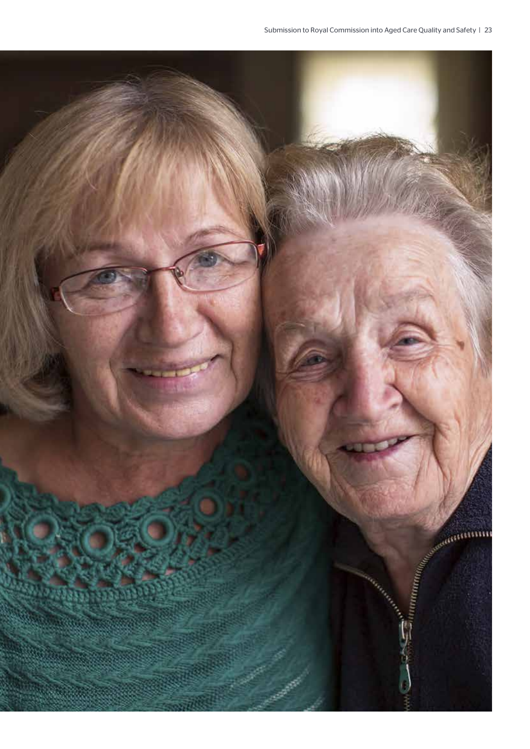